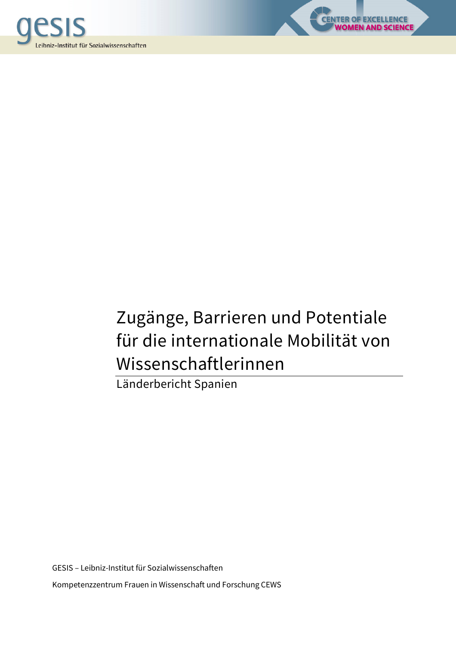



**OF EXCELLENCE<br>MEN AND SCIENCE** 

Länderbericht Spanien

GESIS – Leibniz-Institut für Sozialwissenschaften Kompetenzzentrum Frauen in Wissenschaft und Forschung CEWS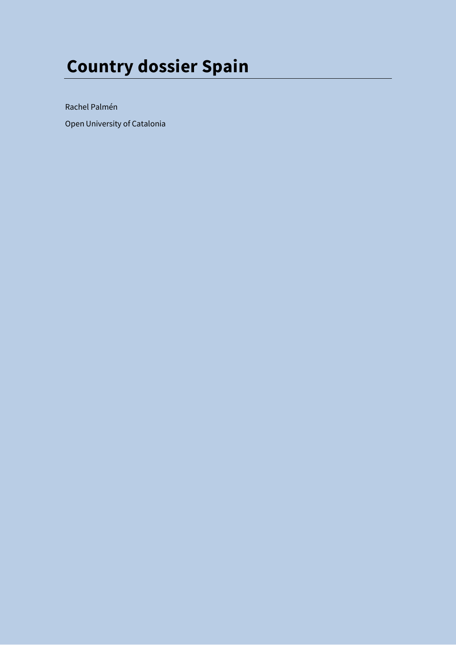# **Country dossier Spain**

Rachel Palmén

Open University of Catalonia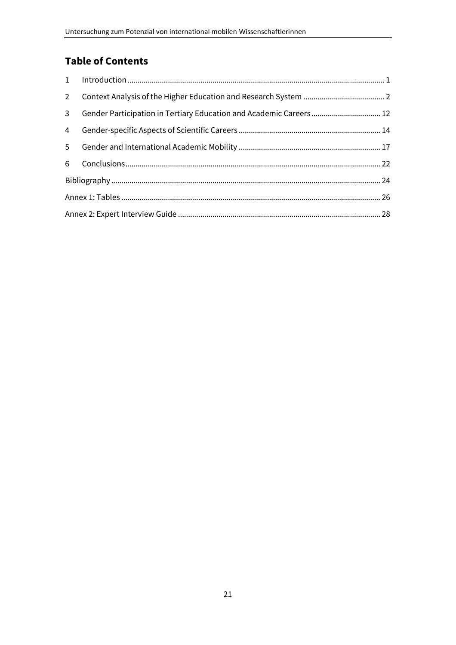# **Table of Contents**

| $2^{\circ}$    |  |  |  |  |  |  |
|----------------|--|--|--|--|--|--|
| $\mathbf{3}$   |  |  |  |  |  |  |
| $\overline{4}$ |  |  |  |  |  |  |
| 5 <sup>1</sup> |  |  |  |  |  |  |
| 6              |  |  |  |  |  |  |
|                |  |  |  |  |  |  |
|                |  |  |  |  |  |  |
|                |  |  |  |  |  |  |
|                |  |  |  |  |  |  |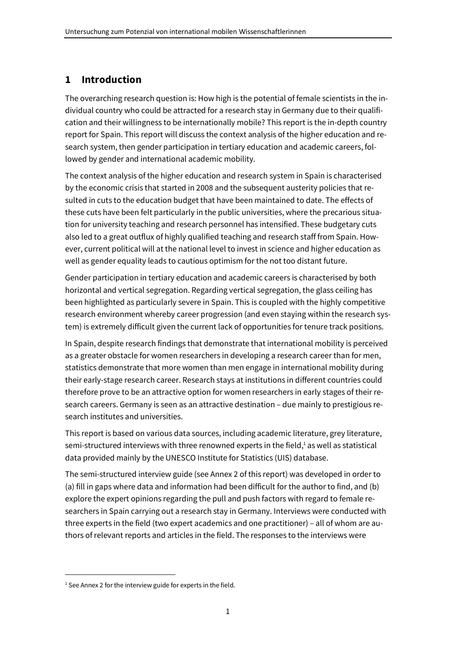# **1 Introduction**

The overarching research question is: How high is the potential of female scientists in the individual country who could be attracted for a research stay in Germany due to their qualification and their willingness to be internationally mobile? This report is the in-depth country report for Spain. This report will discuss the context analysis of the higher education and research system, then gender participation in tertiary education and academic careers, followed by gender and international academic mobility.

The context analysis of the higher education and research system in Spain is characterised by the economic crisis that started in 2008 and the subsequent austerity policies that resulted in cuts to the education budget that have been maintained to date. The effects of these cuts have been felt particularly in the public universities, where the precarious situation for university teaching and research personnel has intensified. These budgetary cuts also led to a great outflux of highly qualified teaching and research staff from Spain. However, current political will at the national level to invest in science and higher education as well as gender equality leads to cautious optimism for the not too distant future.

Gender participation in tertiary education and academic careers is characterised by both horizontal and vertical segregation. Regarding vertical segregation, the glass ceiling has been highlighted as particularly severe in Spain. This is coupled with the highly competitive research environment whereby career progression (and even staying within the research system) is extremely difficult given the current lack of opportunities for tenure track positions.

In Spain, despite research findings that demonstrate that international mobility is perceived as a greater obstacle for women researchers in developing a research career than for men, statistics demonstrate that more women than men engage in international mobility during their early-stage research career. Research stays at institutions in different countries could therefore prove to be an attractive option for women researchers in early stages of their research careers. Germany is seen as an attractive destination – due mainly to prestigious research institutes and universities.

This report is based on various data sources, including academic literature, grey literature, semi-structured interviews with three renowned experts in the field,<sup>1</sup> as well as statistical data provided mainly by the UNESCO Institute for Statistics (UIS) database.

The semi-structured interview guide (see Annex 2 of this report) was developed in order to (a) fill in gaps where data and information had been difficult for the author to find, and (b) explore the expert opinions regarding the pull and push factors with regard to female researchers in Spain carrying out a research stay in Germany. Interviews were conducted with three experts in the field (two expert academics and one practitioner) – all of whom are authors of relevant reports and articles in the field. The responses to the interviews were

<sup>&</sup>lt;sup>1</sup> See Annex 2 for the interview guide for experts in the field.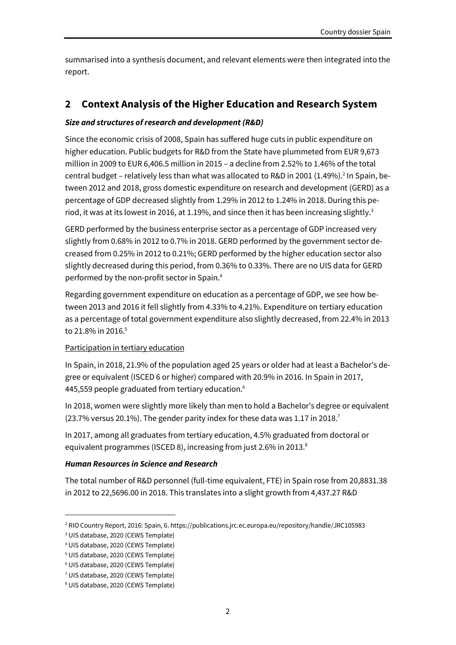summarised into a synthesis document, and relevant elements were then integrated into the report.

# **2 Context Analysis of the Higher Education and Research System**

# *Size and structures of research and development (R&D)*

Since the economic crisis of 2008, Spain has suffered huge cuts in public expenditure on higher education. Public budgets for R&D from the State have plummeted from EUR 9,673 million in 2009 to EUR 6,406.5 million in 2015 – a decline from 2.52% to 1.46% of the total central budget - relatively less than what was allocated to R&D in 2001 (1.49%).<sup>2</sup> In Spain, between 2012 and 2018, gross domestic expenditure on research and development (GERD) as a percentage of GDP decreased slightly from 1.29% in 2012 to 1.24% in 2018. During this period, it was at its lowest in 2016, at 1.19%, and since then it has been increasing slightly.<sup>3</sup>

GERD performed by the business enterprise sector as a percentage of GDP increased very slightly from 0.68% in 2012 to 0.7% in 2018. GERD performed by the government sector decreased from 0.25% in 2012 to 0.21%; GERD performed by the higher education sector also slightly decreased during this period, from 0.36% to 0.33%. There are no UIS data for GERD performed by the non-profit sector in Spain.<sup>4</sup>

Regarding government expenditure on education as a percentage of GDP, we see how between 2013 and 2016 it fell slightly from 4.33% to 4.21%. Expenditure on tertiary education as a percentage of total government expenditure also slightly decreased, from 22.4% in 2013 to 21.8% in 2016.<sup>5</sup>

# Participation in tertiary education

In Spain, in 2018, 21.9% of the population aged 25 years or older had at least a Bachelor's degree or equivalent (ISCED 6 or higher) compared with 20.9% in 2016. In Spain in 2017, 445,559 people graduated from tertiary education. $6$ 

In 2018, women were slightly more likely than men to hold a Bachelor's degree or equivalent  $(23.7\%$  versus 20.1%). The gender parity index for these data was 1.17 in 2018.<sup>7</sup>

In 2017, among all graduates from tertiary education, 4.5% graduated from doctoral or equivalent programmes (ISCED 8), increasing from just 2.6% in 2013. $^8$ 

# *Human Resources in Science and Research*

The total number of R&D personnel (full-time equivalent, FTE) in Spain rose from 20,8831.38 in 2012 to 22,5696.00 in 2018. This translates into a slight growth from 4,437.27 R&D

<sup>2</sup> RIO Country Report, 2016: Spain, 6. https://publications.jrc.ec.europa.eu/repository/handle/JRC105983

<sup>3</sup> UIS database, 2020 (CEWS Template)

<sup>4</sup> UIS database, 2020 (CEWS Template)

<sup>5</sup> UIS database, 2020 (CEWS Template)

<sup>6</sup> UIS database, 2020 (CEWS Template)

<sup>7</sup> UIS database, 2020 (CEWS Template)

<sup>8</sup> UIS database, 2020 (CEWS Template)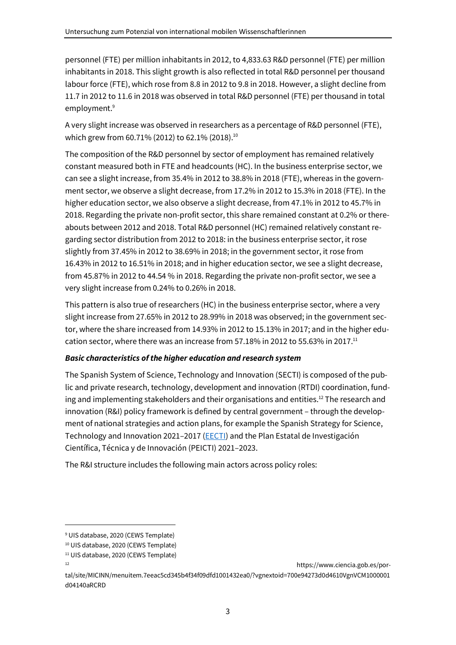personnel (FTE) per million inhabitants in 2012, to 4,833.63 R&D personnel (FTE) per million inhabitants in 2018. This slight growth is also reflected in total R&D personnel per thousand labour force (FTE), which rose from 8.8 in 2012 to 9.8 in 2018. However, a slight decline from 11.7 in 2012 to 11.6 in 2018 was observed in total R&D personnel (FTE) per thousand in total employment.<sup>9</sup>

A very slight increase was observed in researchers as a percentage of R&D personnel (FTE), which grew from 60.71% (2012) to 62.1% (2018).<sup>10</sup>

The composition of the R&D personnel by sector of employment has remained relatively constant measured both in FTE and headcounts (HC). In the business enterprise sector, we can see a slight increase, from 35.4% in 2012 to 38.8% in 2018 (FTE), whereas in the government sector, we observe a slight decrease, from 17.2% in 2012 to 15.3% in 2018 (FTE). In the higher education sector, we also observe a slight decrease, from 47.1% in 2012 to 45.7% in 2018. Regarding the private non-profit sector, this share remained constant at 0.2% or thereabouts between 2012 and 2018. Total R&D personnel (HC) remained relatively constant regarding sector distribution from 2012 to 2018: in the business enterprise sector, it rose slightly from 37.45% in 2012 to 38.69% in 2018; in the government sector, it rose from 16.43% in 2012 to 16.51% in 2018; and in higher education sector, we see a slight decrease, from 45.87% in 2012 to 44.54 % in 2018. Regarding the private non-profit sector, we see a very slight increase from 0.24% to 0.26% in 2018.

This pattern is also true of researchers (HC) in the business enterprise sector, where a very slight increase from 27.65% in 2012 to 28.99% in 2018 was observed; in the government sector, where the share increased from 14.93% in 2012 to 15.13% in 2017; and in the higher education sector, where there was an increase from 57.18% in 2012 to 55.63% in 2017.<sup>11</sup>

# *Basic characteristics of the higher education and research system*

The Spanish System of Science, Technology and Innovation (SECTI) is composed of the public and private research, technology, development and innovation (RTDI) coordination, funding and implementing stakeholders and their organisations and entities.<sup>12</sup> The research and innovation (R&I) policy framework is defined by central government – through the development of national strategies and action plans, for example the Spanish Strategy for Science, Technology and Innovation 2021–2017 (EECTI) and the Plan Estatal de Investigación Científica, Técnica y de Innovación (PEICTI) 2021–2023.

The R&I structure includes the following main actors across policy roles:

<sup>9</sup> UIS database, 2020 (CEWS Template)

<sup>10</sup> UIS database, 2020 (CEWS Template)

<sup>&</sup>lt;sup>11</sup> UIS database, 2020 (CEWS Template)

<sup>12</sup> https://www.ciencia.gob.es/por-

tal/site/MICINN/menuitem.7eeac5cd345b4f34f09dfd1001432ea0/?vgnextoid=700e94273d0d4610VgnVCM1000001 d04140aRCRD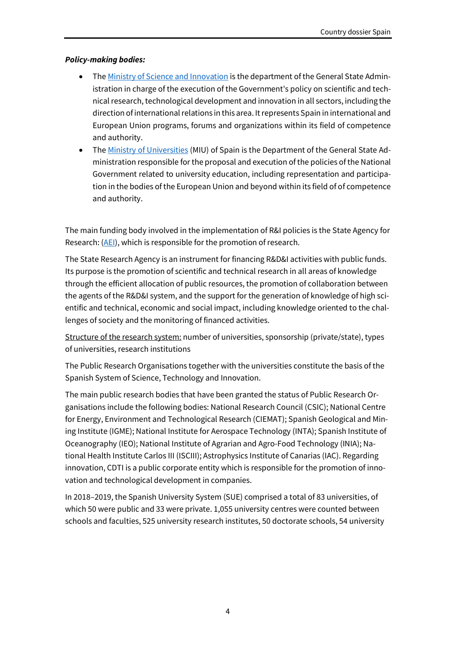# *Policy-making bodies:*

- The Ministry of Science and Innovation is the department of the General State Administration in charge of the execution of the Government's policy on scientific and technical research, technological development and innovation in all sectors, including the direction of international relations in this area. It represents Spain in international and European Union programs, forums and organizations within its field of competence and authority.
- The Ministry of Universities (MIU) of Spain is the Department of the General State Administration responsible for the proposal and execution of the policies of the National Government related to university education, including representation and participation in the bodies of the European Union and beyond within its field of of competence and authority.

The main funding body involved in the implementation of R&I policies is the State Agency for Research: (AEI), which is responsible for the promotion of research.

The State Research Agency is an instrument for financing R&D&I activities with public funds. Its purpose is the promotion of scientific and technical research in all areas of knowledge through the efficient allocation of public resources, the promotion of collaboration between the agents of the R&D&I system, and the support for the generation of knowledge of high scientific and technical, economic and social impact, including knowledge oriented to the challenges of society and the monitoring of financed activities.

Structure of the research system: number of universities, sponsorship (private/state), types of universities, research institutions

The Public Research Organisations together with the universities constitute the basis of the Spanish System of Science, Technology and Innovation.

The main public research bodies that have been granted the status of Public Research Organisations include the following bodies: National Research Council (CSIC); National Centre for Energy, Environment and Technological Research (CIEMAT); Spanish Geological and Mining Institute (IGME); National Institute for Aerospace Technology (INTA); Spanish Institute of Oceanography (IEO); National Institute of Agrarian and Agro-Food Technology (INIA); National Health Institute Carlos III (ISCIII); Astrophysics Institute of Canarias (IAC). Regarding innovation, CDTI is a public corporate entity which is responsible for the promotion of innovation and technological development in companies.

In 2018–2019, the Spanish University System (SUE) comprised a total of 83 universities, of which 50 were public and 33 were private. 1,055 university centres were counted between schools and faculties, 525 university research institutes, 50 doctorate schools, 54 university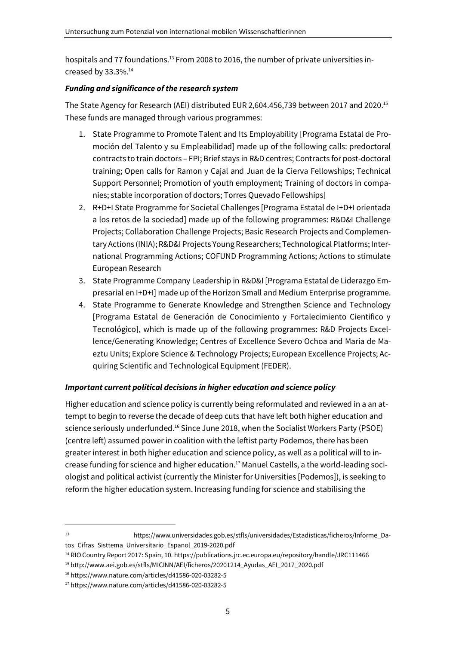hospitals and 77 foundations.<sup>13</sup> From 2008 to 2016, the number of private universities increased by  $33.3\%$ .<sup>14</sup>

# *Funding and significance of the research system*

The State Agency for Research (AEI) distributed EUR 2,604.456,739 between 2017 and 2020.<sup>15</sup> These funds are managed through various programmes:

- 1. State Programme to Promote Talent and Its Employability [Programa Estatal de Promoción del Talento y su Empleabilidad] made up of the following calls: predoctoral contracts to train doctors – FPI; Brief stays in R&D centres; Contracts for post-doctoral training; Open calls for Ramon y Cajal and Juan de la Cierva Fellowships; Technical Support Personnel; Promotion of youth employment; Training of doctors in companies; stable incorporation of doctors; Torres Quevado Fellowships]
- 2. R+D+I State Programme for Societal Challenges [Programa Estatal de I+D+I orientada a los retos de la sociedad] made up of the following programmes: R&D&I Challenge Projects; Collaboration Challenge Projects; Basic Research Projects and Complementary Actions (INIA); R&D&I Projects Young Researchers; Technological Platforms; International Programming Actions; COFUND Programming Actions; Actions to stimulate European Research
- 3. State Programme Company Leadership in R&D&I [Programa Estatal de Liderazgo Empresarial en I+D+I] made up of the Horizon Small and Medium Enterprise programme.
- 4. State Programme to Generate Knowledge and Strengthen Science and Technology [Programa Estatal de Generación de Conocimiento y Fortalecimiento Cientifico y Tecnológico], which is made up of the following programmes: R&D Projects Excellence/Generating Knowledge; Centres of Excellence Severo Ochoa and Maria de Maeztu Units; Explore Science & Technology Projects; European Excellence Projects; Acquiring Scientific and Technological Equipment (FEDER).

# *Important current political decisions in higher education and science policy*

Higher education and science policy is currently being reformulated and reviewed in a an attempt to begin to reverse the decade of deep cuts that have left both higher education and science seriously underfunded.<sup>16</sup> Since June 2018, when the Socialist Workers Party (PSOE) (centre left) assumed power in coalition with the leftist party Podemos, there has been greater interest in both higher education and science policy, as well as a political will to increase funding for science and higher education.17 Manuel Castells, a the world-leading sociologist and political activist (currently the Minister for Universities [Podemos]), is seeking to reform the higher education system. Increasing funding for science and stabilising the

<sup>13</sup> https://www.universidades.gob.es/stfls/universidades/Estadisticas/ficheros/Informe\_Datos\_Cifras\_Sisttema\_Universitario\_Espanol\_2019-2020.pdf

<sup>&</sup>lt;sup>14</sup> RIO Country Report 2017: Spain, 10. https://publications.jrc.ec.europa.eu/repository/handle/JRC111466

<sup>15</sup> http://www.aei.gob.es/stfls/MICINN/AEI/ficheros/20201214\_Ayudas\_AEI\_2017\_2020.pdf

<sup>16</sup> https://www.nature.com/articles/d41586-020-03282-5

<sup>17</sup> https://www.nature.com/articles/d41586-020-03282-5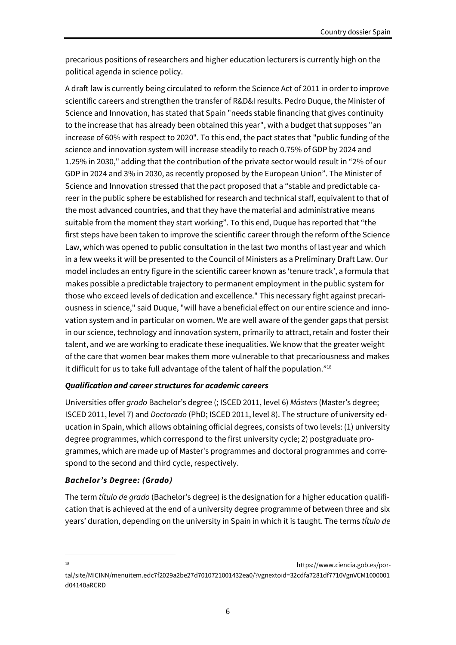precarious positions of researchers and higher education lecturers is currently high on the political agenda in science policy.

A draft law is currently being circulated to reform the Science Act of 2011 in order to improve scientific careers and strengthen the transfer of R&D&I results. Pedro Duque, the Minister of Science and Innovation, has stated that Spain "needs stable financing that gives continuity to the increase that has already been obtained this year", with a budget that supposes "an increase of 60% with respect to 2020". To this end, the pact states that "public funding of the science and innovation system will increase steadily to reach 0.75% of GDP by 2024 and 1.25% in 2030," adding that the contribution of the private sector would result in "2% of our GDP in 2024 and 3% in 2030, as recently proposed by the European Union". The Minister of Science and Innovation stressed that the pact proposed that a "stable and predictable career in the public sphere be established for research and technical staff, equivalent to that of the most advanced countries, and that they have the material and administrative means suitable from the moment they start working". To this end, Duque has reported that "the first steps have been taken to improve the scientific career through the reform of the Science Law, which was opened to public consultation in the last two months of last year and which in a few weeks it will be presented to the Council of Ministers as a Preliminary Draft Law. Our model includes an entry figure in the scientific career known as 'tenure track', a formula that makes possible a predictable trajectory to permanent employment in the public system for those who exceed levels of dedication and excellence." This necessary fight against precariousness in science," said Duque, "will have a beneficial effect on our entire science and innovation system and in particular on women. We are well aware of the gender gaps that persist in our science, technology and innovation system, primarily to attract, retain and foster their talent, and we are working to eradicate these inequalities. We know that the greater weight of the care that women bear makes them more vulnerable to that precariousness and makes it difficult for us to take full advantage of the talent of half the population."<sup>18</sup>

#### *Qualification and career structures for academic careers*

Universities offer *grado* Bachelor's degree (; ISCED 2011, level 6) *Másters* (Master's degree; ISCED 2011, level 7) and *Doctorado* (PhD; ISCED 2011, level 8). The structure of university education in Spain, which allows obtaining official degrees, consists of two levels: (1) university degree programmes, which correspond to the first university cycle; 2) postgraduate programmes, which are made up of Master's programmes and doctoral programmes and correspond to the second and third cycle, respectively.

#### *Bachelor's Degree: (Grado)*

The term *título de grado* (Bachelor's degree) is the designation for a higher education qualification that is achieved at the end of a university degree programme of between three and six years' duration, depending on the university in Spain in which it is taught. The terms *título de* 

<sup>18</sup> https://www.ciencia.gob.es/portal/site/MICINN/menuitem.edc7f2029a2be27d7010721001432ea0/?vgnextoid=32cdfa7281df7710VgnVCM1000001 d04140aRCRD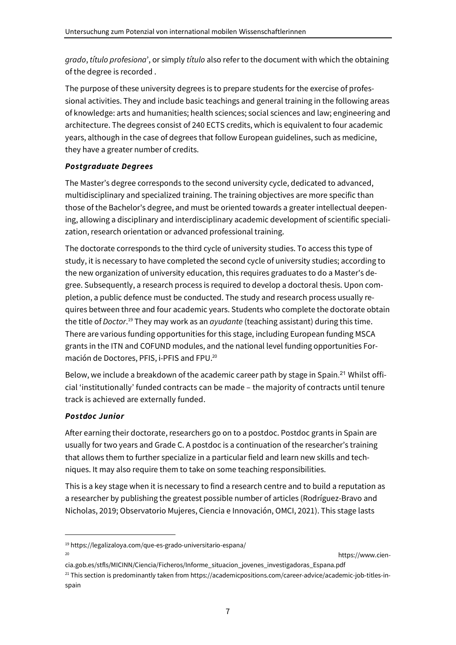*grado*, *título profesiona*', or simply *título* also refer to the document with which the obtaining of the degree is recorded .

The purpose of these university degrees is to prepare students for the exercise of professional activities. They and include basic teachings and general training in the following areas of knowledge: arts and humanities; health sciences; social sciences and law; engineering and architecture. The degrees consist of 240 ECTS credits, which is equivalent to four academic years, although in the case of degrees that follow European guidelines, such as medicine, they have a greater number of credits.

# *Postgraduate Degrees*

The Master's degree corresponds to the second university cycle, dedicated to advanced, multidisciplinary and specialized training. The training objectives are more specific than those of the Bachelor's degree, and must be oriented towards a greater intellectual deepening, allowing a disciplinary and interdisciplinary academic development of scientific specialization, research orientation or advanced professional training.

The doctorate corresponds to the third cycle of university studies. To access this type of study, it is necessary to have completed the second cycle of university studies; according to the new organization of university education, this requires graduates to do a Master's degree. Subsequently, a research process is required to develop a doctoral thesis. Upon completion, a public defence must be conducted. The study and research process usually requires between three and four academic years. Students who complete the doctorate obtain the title of *Doctor*.<sup>19</sup> They may work as an *ayudante* (teaching assistant) during this time. There are various funding opportunities for this stage, including European funding MSCA grants in the ITN and COFUND modules, and the national level funding opportunities Formación de Doctores, PFIS, i-PFIS and FPU.<sup>20</sup>

Below, we include a breakdown of the academic career path by stage in Spain.<sup>21</sup> Whilst official 'institutionally' funded contracts can be made – the majority of contracts until tenure track is achieved are externally funded.

# *Postdoc Junior*

After earning their doctorate, researchers go on to a postdoc. Postdoc grants in Spain are usually for two years and Grade C. A postdoc is a continuation of the researcher's training that allows them to further specialize in a particular field and learn new skills and techniques. It may also require them to take on some teaching responsibilities.

This is a key stage when it is necessary to find a research centre and to build a reputation as a researcher by publishing the greatest possible number of articles (Rodríguez-Bravo and Nicholas, 2019; Observatorio Mujeres, Ciencia e Innovación, OMCI, 2021). This stage lasts

https://www.cien-

<sup>19</sup> https://legalizaloya.com/que-es-grado-universitario-espana/

cia.gob.es/stfls/MICINN/Ciencia/Ficheros/Informe\_situacion\_jovenes\_investigadoras\_Espana.pdf  $^{21}$  This section is predominantly taken from https://academicpositions.com/career-advice/academic-job-titles-inspain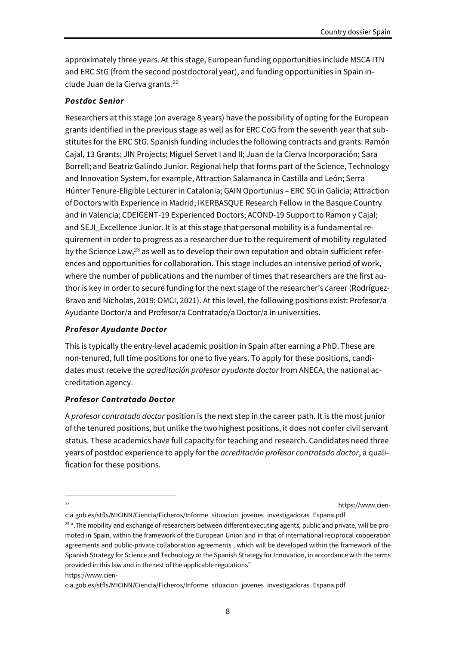approximately three years. At this stage, European funding opportunities include MSCA ITN and ERC StG (from the second postdoctoral year), and funding opportunities in Spain include Juan de la Cierva grants. 22

#### *Postdoc Senior*

Researchers at this stage (on average 8 years) have the possibility of opting for the European grants identified in the previous stage as well as for ERC CoG from the seventh year that substitutes for the ERC StG. Spanish funding includes the following contracts and grants: Ramón Cajal, 13 Grants; JIN Projects; Miguel Servet I and II; Juan de la Cierva Incorporación; Sara Borrell; and Beatriz Galindo Junior. Regional help that forms part of the Science, Technology and Innovation System, for example, Attraction Salamanca in Castilla and León; Serra Húnter Tenure-Eligible Lecturer in Catalonia; GAIN Oportunius – ERC SG in Galicia; Attraction of Doctors with Experience in Madrid; IKERBASQUE Research Fellow in the Basque Country and in Valencia; CDEIGENT-19 Experienced Doctors; ACOND-19 Support to Ramon y Cajal; and SEJI Excellence Junior. It is at this stage that personal mobility is a fundamental requirement in order to progress as a researcher due to the requirement of mobility regulated by the Science Law, $^{23}$  as well as to develop their own reputation and obtain sufficient references and opportunities for collaboration. This stage includes an intensive period of work, where the number of publications and the number of times that researchers are the first author is key in order to secure funding for the next stage of the researcher's career (Rodríguez-Bravo and Nicholas, 2019; OMCI, 2021). At this level, the following positions exist: Profesor/a Ayudante Doctor/a and Profesor/a Contratado/a Doctor/a in universities.

#### *Profesor Ayudante Doctor*

This is typically the entry-level academic position in Spain after earning a PhD. These are non-tenured, full time positions for one to five years. To apply for these positions, candidates must receive the *acreditación profesor ayudante doctor* from ANECA, the national accreditation agency.

# *Profesor Contratado Doctor*

A *profesor contratado doctor* position is the next step in the career path. It is the most junior of the tenured positions, but unlike the two highest positions, it does not confer civil servant status. These academics have full capacity for teaching and research. Candidates need three years of postdoc experience to apply for the *acreditación profesor contratado doctor*, a qualification for these positions.

22 https://www.cien-

cia.gob.es/stfls/MICINN/Ciencia/Ficheros/Informe\_situacion\_jovenes\_investigadoras\_Espana.pdf

 $23$  ". The mobility and exchange of researchers between different executing agents, public and private, will be promoted in Spain, within the framework of the European Union and in that of international reciprocal cooperation agreements and public-private collaboration agreements , which will be developed within the framework of the Spanish Strategy for Science and Technology or the Spanish Strategy for Innovation, in accordance with the terms provided in this law and in the rest of the applicable regulations" https://www.cien-

cia.gob.es/stfls/MICINN/Ciencia/Ficheros/Informe\_situacion\_jovenes\_investigadoras\_Espana.pdf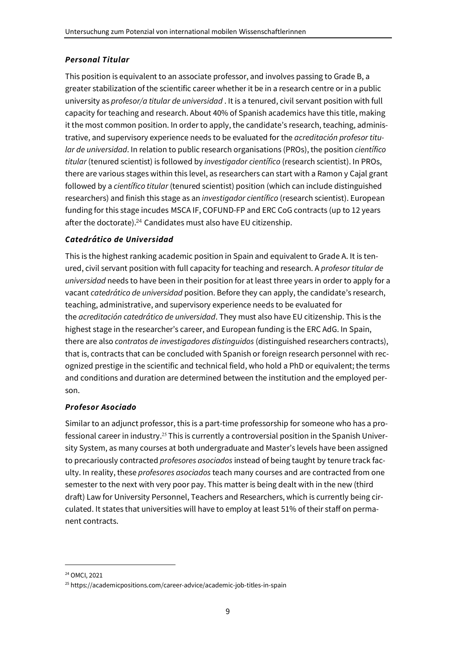#### *Personal Titular*

This position is equivalent to an associate professor, and involves passing to Grade B, a greater stabilization of the scientific career whether it be in a research centre or in a public university as *profesor/a titular de universidad* . It is a tenured, civil servant position with full capacity for teaching and research. About 40% of Spanish academics have this title, making it the most common position. In order to apply, the candidate's research, teaching, administrative, and supervisory experience needs to be evaluated for the *acreditación profesor titular de universidad*. In relation to public research organisations (PROs), the position *científico titular* (tenured scientist) is followed by *investigador científico* (research scientist). In PROs, there are various stages within this level, as researchers can start with a Ramon y Cajal grant followed by a *científico titular* (tenured scientist) position (which can include distinguished researchers) and finish this stage as an *investigador científico* (research scientist). European funding for this stage incudes MSCA IF, COFUND-FP and ERC CoG contracts (up to 12 years after the doctorate).<sup>24</sup> Candidates must also have EU citizenship.

#### *Catedrático de Universidad*

This is the highest ranking academic position in Spain and equivalent to Grade A. It is tenured, civil servant position with full capacity for teaching and research. A *profesor titular de universidad* needs to have been in their position for at least three years in order to apply for a vacant *catedrático de universidad* position. Before they can apply, the candidate's research, teaching, administrative, and supervisory experience needs to be evaluated for the *acreditación catedrático de universidad*. They must also have EU citizenship. This is the highest stage in the researcher's career, and European funding is the ERC AdG. In Spain, there are also *contratos de investigadores distinguidos* (distinguished researchers contracts), that is, contracts that can be concluded with Spanish or foreign research personnel with recognized prestige in the scientific and technical field, who hold a PhD or equivalent; the terms and conditions and duration are determined between the institution and the employed person.

#### *Profesor Asociado*

Similar to an adjunct professor, this is a part-time professorship for someone who has a professional career in industry.<sup>25</sup> This is currently a controversial position in the Spanish University System, as many courses at both undergraduate and Master's levels have been assigned to precariously contracted *profesores asociados* instead of being taught by tenure track faculty. In reality, these *profesores asociados* teach many courses and are contracted from one semester to the next with very poor pay. This matter is being dealt with in the new (third draft) Law for University Personnel, Teachers and Researchers, which is currently being circulated. It states that universities will have to employ at least 51% of their staff on permanent contracts.

<sup>24</sup> OMCI, 2021

<sup>25</sup> https://academicpositions.com/career-advice/academic-job-titles-in-spain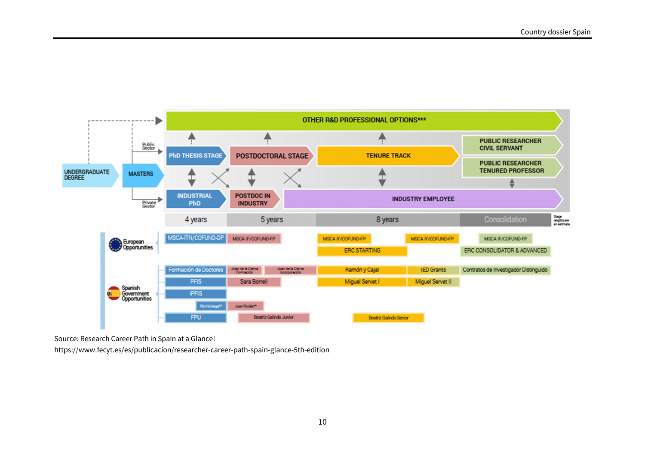

Source: Research Career Path in Spain at a Glance!

https://www.fecyt.es/es/publicacion/researcher-career-path-spain-glance-5th-edition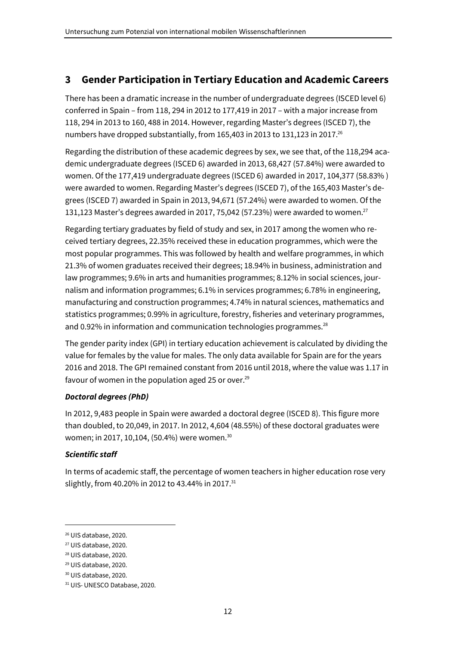# **3 Gender Participation in Tertiary Education and Academic Careers**

There has been a dramatic increase in the number of undergraduate degrees (ISCED level 6) conferred in Spain – from 118, 294 in 2012 to 177,419 in 2017 – with a major increase from 118, 294 in 2013 to 160, 488 in 2014. However, regarding Master's degrees (ISCED 7), the numbers have dropped substantially, from 165,403 in 2013 to 131,123 in 2017.<sup>26</sup>

Regarding the distribution of these academic degrees by sex, we see that, of the 118,294 academic undergraduate degrees (ISCED 6) awarded in 2013, 68,427 (57.84%) were awarded to women. Of the 177,419 undergraduate degrees (ISCED 6) awarded in 2017, 104,377 (58.83% ) were awarded to women. Regarding Master's degrees (ISCED 7), of the 165,403 Master's degrees (ISCED 7) awarded in Spain in 2013, 94,671 (57.24%) were awarded to women. Of the 131,123 Master's degrees awarded in 2017, 75,042 (57.23%) were awarded to women.<sup>27</sup>

Regarding tertiary graduates by field of study and sex, in 2017 among the women who received tertiary degrees, 22.35% received these in education programmes, which were the most popular programmes. This was followed by health and welfare programmes, in which 21.3% of women graduates received their degrees; 18.94% in business, administration and law programmes; 9.6% in arts and humanities programmes; 8.12% in social sciences, journalism and information programmes; 6.1% in services programmes; 6.78% in engineering, manufacturing and construction programmes; 4.74% in natural sciences, mathematics and statistics programmes; 0.99% in agriculture, forestry, fisheries and veterinary programmes, and 0.92% in information and communication technologies programmes. $28$ 

The gender parity index (GPI) in tertiary education achievement is calculated by dividing the value for females by the value for males. The only data available for Spain are for the years 2016 and 2018. The GPI remained constant from 2016 until 2018, where the value was 1.17 in favour of women in the population aged 25 or over. $29$ 

# *Doctoral degrees (PhD)*

In 2012, 9,483 people in Spain were awarded a doctoral degree (ISCED 8). This figure more than doubled, to 20,049, in 2017. In 2012, 4,604 (48.55%) of these doctoral graduates were women; in 2017, 10,104, (50.4%) were women.<sup>30</sup>

# *Scientific staff*

In terms of academic staff, the percentage of women teachers in higher education rose very slightly, from 40.20% in 2012 to 43.44% in 2017.<sup>31</sup>

<sup>26</sup> UIS database, 2020.

<sup>27</sup> UIS database, 2020.

<sup>28</sup> UIS database, 2020.

<sup>29</sup> UIS database, 2020.

<sup>30</sup> UIS database, 2020.

<sup>31</sup> UIS- UNESCO Database, 2020.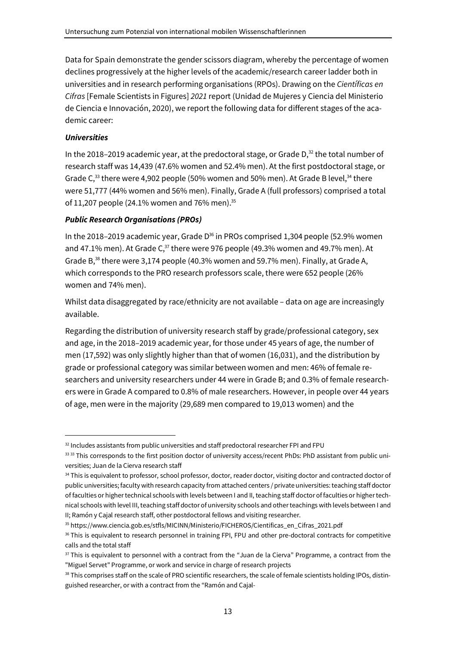Data for Spain demonstrate the gender scissors diagram, whereby the percentage of women declines progressively at the higher levels of the academic/research career ladder both in universities and in research performing organisations (RPOs). Drawing on the *Científicas en Cifras* [Female Scientists in Figures] *2021* report (Unidad de Mujeres y Ciencia del Ministerio de Ciencia e Innovación, 2020), we report the following data for different stages of the academic career:

### *Universities*

In the 2018–2019 academic year, at the predoctoral stage, or Grade  $D<sub>1</sub><sup>32</sup>$  the total number of research staff was 14,439 (47.6% women and 52.4% men). At the first postdoctoral stage, or Grade  $C<sub>33</sub>$  there were 4,902 people (50% women and 50% men). At Grade B level, $34$  there were 51,777 (44% women and 56% men). Finally, Grade A (full professors) comprised a total of 11,207 people (24.1% women and 76% men).<sup>35</sup>

#### *Public Research Organisations (PROs)*

In the 2018–2019 academic year, Grade  $D^{36}$  in PROs comprised 1,304 people (52.9% women and 47.1% men). At Grade  $C_{3}^{37}$  there were 976 people (49.3% women and 49.7% men). At Grade B,<sup>38</sup> there were 3,174 people (40.3% women and 59.7% men). Finally, at Grade A, which corresponds to the PRO research professors scale, there were 652 people (26% women and 74% men).

Whilst data disaggregated by race/ethnicity are not available – data on age are increasingly available.

Regarding the distribution of university research staff by grade/professional category, sex and age, in the 2018–2019 academic year, for those under 45 years of age, the number of men (17,592) was only slightly higher than that of women (16,031), and the distribution by grade or professional category was similar between women and men: 46% of female researchers and university researchers under 44 were in Grade B; and 0.3% of female researchers were in Grade A compared to 0.8% of male researchers. However, in people over 44 years of age, men were in the majority (29,689 men compared to 19,013 women) and the

<sup>32</sup> Includes assistants from public universities and staff predoctoral researcher FPI and FPU

<sup>33 33</sup> This corresponds to the first position doctor of university access/recent PhDs: PhD assistant from public universities; Juan de la Cierva research staff

<sup>34</sup> This is equivalent to professor, school professor, doctor, reader doctor, visiting doctor and contracted doctor of public universities; faculty with research capacity from attached centers / private universities: teaching staff doctor of faculties or higher technical schools with levels between I and II, teaching staff doctor of faculties or higher technical schools with level III, teaching staff doctor of university schools and other teachings with levels between I and II; Ramón y Cajal research staff, other postdoctoral fellows and visiting researcher.

<sup>35</sup> https://www.ciencia.gob.es/stfls/MICINN/Ministerio/FICHEROS/Cientificas\_en\_Cifras\_2021.pdf

<sup>&</sup>lt;sup>36</sup> This is equivalent to research personnel in training FPI, FPU and other pre-doctoral contracts for competitive calls and the total staff

<sup>&</sup>lt;sup>37</sup> This is equivalent to personnel with a contract from the "Juan de la Cierva" Programme, a contract from the "Miguel Servet" Programme, or work and service in charge of research projects

<sup>38</sup> This comprises staff on the scale of PRO scientific researchers, the scale of female scientists holding IPOs, distinguished researcher, or with a contract from the "Ramón and Cajal-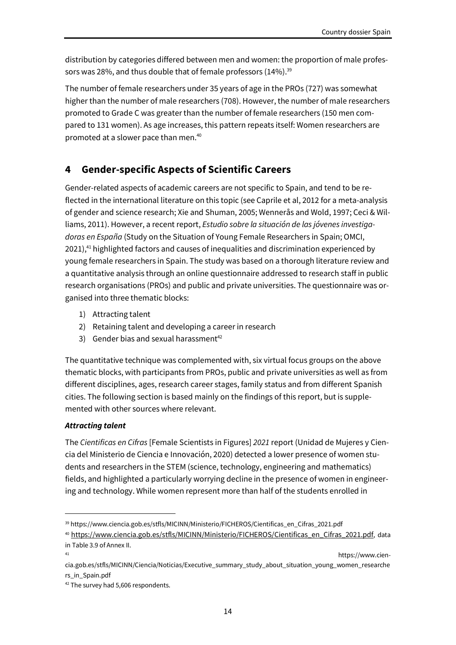distribution by categories differed between men and women: the proportion of male professors was 28%, and thus double that of female professors (14%).<sup>39</sup>

The number of female researchers under 35 years of age in the PROs (727) was somewhat higher than the number of male researchers (708). However, the number of male researchers promoted to Grade C was greater than the number of female researchers (150 men compared to 131 women). As age increases, this pattern repeats itself: Women researchers are promoted at a slower pace than men.<sup>40</sup>

# **4 Gender-specific Aspects of Scientific Careers**

Gender-related aspects of academic careers are not specific to Spain, and tend to be reflected in the international literature on this topic (see Caprile et al, 2012 for a meta-analysis of gender and science research; Xie and Shuman, 2005; Wennerås and Wold, 1997; Ceci & Williams, 2011). However, a recent report, *Estudio sobre la situación de las jóvenes investigadoras en España* (Study on the Situation of Young Female Researchers in Spain; OMCI, 2021),<sup>41</sup> highlighted factors and causes of inequalities and discrimination experienced by young female researchers in Spain. The study was based on a thorough literature review and a quantitative analysis through an online questionnaire addressed to research staff in public research organisations (PROs) and public and private universities. The questionnaire was organised into three thematic blocks:

- 1) Attracting talent
- 2) Retaining talent and developing a career in research
- 3) Gender bias and sexual harassment<sup>42</sup>

The quantitative technique was complemented with, six virtual focus groups on the above thematic blocks, with participants from PROs, public and private universities as well as from different disciplines, ages, research career stages, family status and from different Spanish cities. The following section is based mainly on the findings of this report, but is supplemented with other sources where relevant.

#### *Attracting talent*

The *Cientificas en Cifras* [Female Scientists in Figures] *2021* report (Unidad de Mujeres y Ciencia del Ministerio de Ciencia e Innovación, 2020) detected a lower presence of women students and researchers in the STEM (science, technology, engineering and mathematics) fields, and highlighted a particularly worrying decline in the presence of women in engineering and technology. While women represent more than half of the students enrolled in

<sup>39</sup> https://www.ciencia.gob.es/stfls/MICINN/Ministerio/FICHEROS/Cientificas\_en\_Cifras\_2021.pdf

<sup>&</sup>lt;sup>40</sup> https://www.ciencia.gob.es/stfls/MICINN/Ministerio/FICHEROS/Cientificas\_en\_Cifras\_2021.pdf, data in Table 3.9 of Annex II.

<sup>41</sup> https://www.cien-

cia.gob.es/stfls/MICINN/Ciencia/Noticias/Executive\_summary\_study\_about\_situation\_young\_women\_researche rs\_in\_Spain.pdf

<sup>&</sup>lt;sup>42</sup> The survey had 5,606 respondents.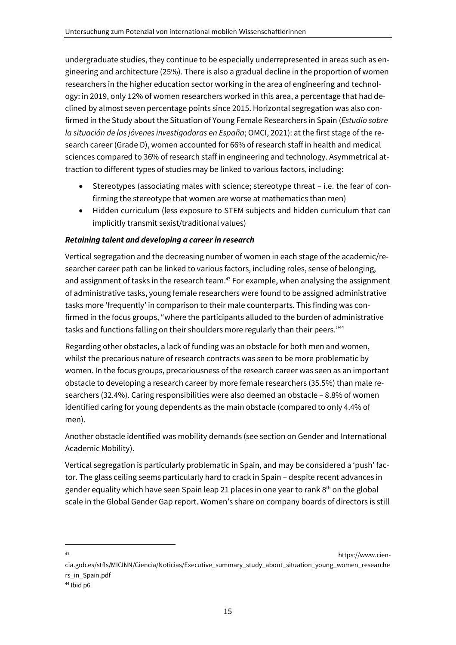undergraduate studies, they continue to be especially underrepresented in areas such as engineering and architecture (25%). There is also a gradual decline in the proportion of women researchers in the higher education sector working in the area of engineering and technology: in 2019, only 12% of women researchers worked in this area, a percentage that had declined by almost seven percentage points since 2015. Horizontal segregation was also confirmed in the Study about the Situation of Young Female Researchers in Spain (*Estudio sobre la situación de las jóvenes investigadoras en España*; OMCI, 2021): at the first stage of the research career (Grade D), women accounted for 66% of research staff in health and medical sciences compared to 36% of research staff in engineering and technology. Asymmetrical attraction to different types of studies may be linked to various factors, including:

- Stereotypes (associating males with science; stereotype threat i.e. the fear of confirming the stereotype that women are worse at mathematics than men)
- Hidden curriculum (less exposure to STEM subjects and hidden curriculum that can implicitly transmit sexist/traditional values)

# *Retaining talent and developing a career in research*

Vertical segregation and the decreasing number of women in each stage of the academic/researcher career path can be linked to various factors, including roles, sense of belonging, and assignment of tasks in the research team.<sup>43</sup> For example, when analysing the assignment of administrative tasks, young female researchers were found to be assigned administrative tasks more 'frequently' in comparison to their male counterparts. This finding was confirmed in the focus groups, "where the participants alluded to the burden of administrative tasks and functions falling on their shoulders more regularly than their peers."<sup>44</sup>

Regarding other obstacles, a lack of funding was an obstacle for both men and women, whilst the precarious nature of research contracts was seen to be more problematic by women. In the focus groups, precariousness of the research career was seen as an important obstacle to developing a research career by more female researchers (35.5%) than male researchers (32.4%). Caring responsibilities were also deemed an obstacle – 8.8% of women identified caring for young dependents as the main obstacle (compared to only 4.4% of men).

Another obstacle identified was mobility demands (see section on Gender and International Academic Mobility).

Vertical segregation is particularly problematic in Spain, and may be considered a 'push' factor. The glass ceiling seems particularly hard to crack in Spain – despite recent advances in gender equality which have seen Spain leap 21 places in one year to rank  $8<sup>th</sup>$  on the global scale in the Global Gender Gap report. Women's share on company boards of directors is still

<sup>43</sup> https://www.ciencia.gob.es/stfls/MICINN/Ciencia/Noticias/Executive\_summary\_study\_about\_situation\_young\_women\_researche rs\_in\_Spain.pdf

<sup>44</sup> Ibid p6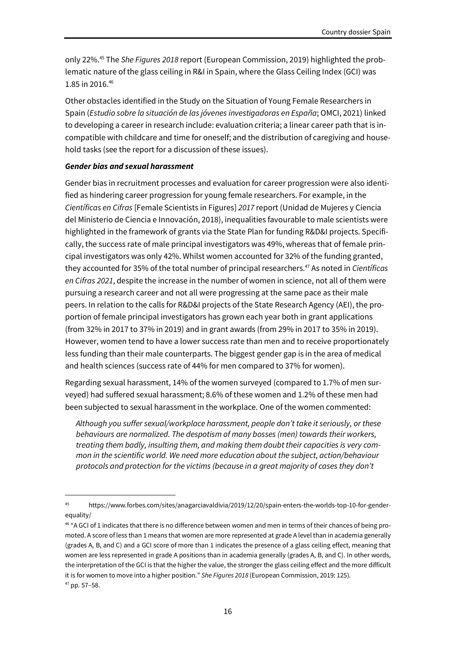only 22%.45 The *She Figures 2018* report (European Commission, 2019) highlighted the problematic nature of the glass ceiling in R&I in Spain, where the Glass Ceiling Index (GCI) was 1.85 in 2016.46

Other obstacles identified in the Study on the Situation of Young Female Researchers in Spain (*Estudio sobre la situación de las jóvenes investigadoras en España*; OMCI, 2021) linked to developing a career in research include: evaluation criteria; a linear career path that is incompatible with childcare and time for oneself; and the distribution of caregiving and household tasks (see the report for a discussion of these issues).

#### *Gender bias and sexual harassment*

Gender bias in recruitment processes and evaluation for career progression were also identified as hindering career progression for young female researchers. For example, in the *Científicas en Cifras* [Female Scientists in Figures] *2017* report (Unidad de Mujeres y Ciencia del Ministerio de Ciencia e Innovación, 2018), inequalities favourable to male scientists were highlighted in the framework of grants via the State Plan for funding R&D&I projects. Specifically, the success rate of male principal investigators was 49%, whereas that of female principal investigators was only 42%. Whilst women accounted for 32% of the funding granted, they accounted for 35% of the total number of principal researchers.<sup>47</sup> As noted in *Científicas en Cifras 2021*, despite the increase in the number of women in science, not all of them were pursuing a research career and not all were progressing at the same pace as their male peers. In relation to the calls for R&D&I projects of the State Research Agency (AEI), the proportion of female principal investigators has grown each year both in grant applications (from 32% in 2017 to 37% in 2019) and in grant awards (from 29% in 2017 to 35% in 2019). However, women tend to have a lower success rate than men and to receive proportionately less funding than their male counterparts. The biggest gender gap is in the area of medical and health sciences (success rate of 44% for men compared to 37% for women).

Regarding sexual harassment, 14% of the women surveyed (compared to 1.7% of men surveyed) had suffered sexual harassment; 8.6% of these women and 1.2% of these men had been subjected to sexual harassment in the workplace. One of the women commented:

*Although you suffer sexual/workplace harassment, people don't take it seriously, or these behaviours are normalized. The despotism of many bosses (men) towards their workers, treating them badly, insulting them, and making them doubt their capacities is very common in the scientific world. We need more education about the subject, action/behaviour protocols and protection for the victims (because in a great majority of cases they don't* 

<sup>45</sup> https://www.forbes.com/sites/anagarciavaldivia/2019/12/20/spain-enters-the-worlds-top-10-for-genderequality/

<sup>46</sup> "A GCI of 1 indicates that there is no difference between women and men in terms of their chances of being promoted. A score of less than 1 means that women are more represented at grade A level than in academia generally (grades A, B, and C) and a GCI score of more than 1 indicates the presence of a glass ceiling effect, meaning that women are less represented in grade A positions than in academia generally (grades A, B, and C). In other words, the interpretation of the GCI is that the higher the value, the stronger the glass ceiling effect and the more difficult it is for women to move into a higher position." *She Figures 2018* (European Commission, 2019: 125).  $47$  pp. 57-58.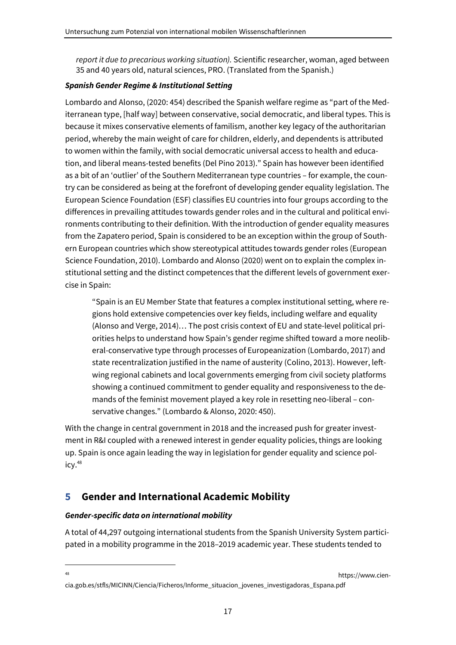*report it due to precarious working situation).* Scientific researcher, woman, aged between 35 and 40 years old, natural sciences, PRO. (Translated from the Spanish.)

#### *Spanish Gender Regime & Institutional Setting*

Lombardo and Alonso, (2020: 454) described the Spanish welfare regime as "part of the Mediterranean type, [half way] between conservative, social democratic, and liberal types. This is because it mixes conservative elements of familism, another key legacy of the authoritarian period, whereby the main weight of care for children, elderly, and dependents is attributed to women within the family, with social democratic universal access to health and education, and liberal means-tested benefits (Del Pino 2013)." Spain has however been identified as a bit of an 'outlier' of the Southern Mediterranean type countries – for example, the country can be considered as being at the forefront of developing gender equality legislation. The European Science Foundation (ESF) classifies EU countries into four groups according to the differences in prevailing attitudes towards gender roles and in the cultural and political environments contributing to their definition. With the introduction of gender equality measures from the Zapatero period, Spain is considered to be an exception within the group of Southern European countries which show stereotypical attitudes towards gender roles (European Science Foundation, 2010). Lombardo and Alonso (2020) went on to explain the complex institutional setting and the distinct competences that the different levels of government exercise in Spain:

"Spain is an EU Member State that features a complex institutional setting, where regions hold extensive competencies over key fields, including welfare and equality (Alonso and Verge, 2014)… The post crisis context of EU and state-level political priorities helps to understand how Spain's gender regime shifted toward a more neoliberal-conservative type through processes of Europeanization (Lombardo, 2017) and state recentralization justified in the name of austerity (Colino, 2013). However, leftwing regional cabinets and local governments emerging from civil society platforms showing a continued commitment to gender equality and responsiveness to the demands of the feminist movement played a key role in resetting neo-liberal – conservative changes." (Lombardo & Alonso, 2020: 450).

With the change in central government in 2018 and the increased push for greater investment in R&I coupled with a renewed interest in gender equality policies, things are looking up. Spain is once again leading the way in legislation for gender equality and science policy.<sup>48</sup>

# **5 Gender and International Academic Mobility**

#### *Gender-specific data on international mobility*

A total of 44,297 outgoing international students from the Spanish University System participated in a mobility programme in the 2018–2019 academic year. These students tended to

essay of the state of the state of the state of the state of the state of the state of the state of the state of the state of the state of the state of the state of the state of the state of the state of the state of the s

cia.gob.es/stfls/MICINN/Ciencia/Ficheros/Informe\_situacion\_jovenes\_investigadoras\_Espana.pdf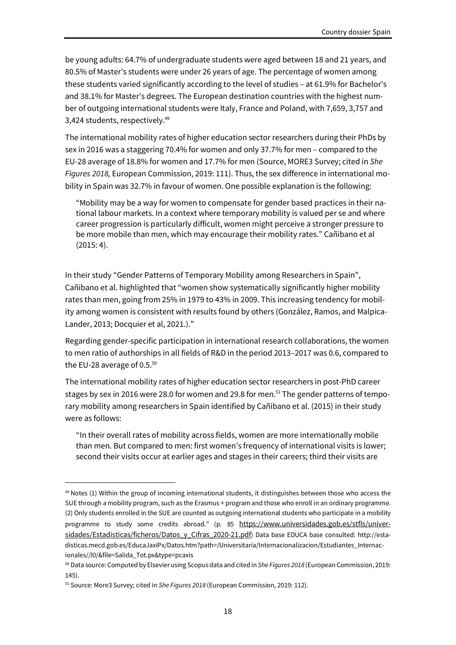be young adults: 64.7% of undergraduate students were aged between 18 and 21 years, and 80.5% of Master's students were under 26 years of age. The percentage of women among these students varied significantly according to the level of studies – at 61.9% for Bachelor's and 38.1% for Master's degrees. The European destination countries with the highest number of outgoing international students were Italy, France and Poland, with 7,659, 3,757 and 3,424 students, respectively.<sup>49</sup>

The international mobility rates of higher education sector researchers during their PhDs by sex in 2016 was a staggering 70.4% for women and only 37.7% for men – compared to the EU-28 average of 18.8% for women and 17.7% for men (Source, MORE3 Survey; cited in *She Figures 2018,* European Commission, 2019: 111). Thus, the sex difference in international mobility in Spain was 32.7% in favour of women. One possible explanation is the following:

"Mobility may be a way for women to compensate for gender based practices in their national labour markets. In a context where temporary mobility is valued per se and where career progression is particularly difficult, women might perceive a stronger pressure to be more mobile than men, which may encourage their mobility rates." Cañibano et al (2015: 4).

In their study "Gender Patterns of Temporary Mobility among Researchers in Spain", Cañibano et al. highlighted that "women show systematically significantly higher mobility rates than men, going from 25% in 1979 to 43% in 2009. This increasing tendency for mobility among women is consistent with results found by others (González, Ramos, and Malpica-Lander, 2013; Docquier et al, 2021.)."

Regarding gender-specific participation in international research collaborations, the women to men ratio of authorships in all fields of R&D in the period 2013–2017 was 0.6, compared to the EU-28 average of 0.5. $50$ 

The international mobility rates of higher education sector researchers in post-PhD career stages by sex in 2016 were 28.0 for women and 29.8 for men.<sup>51</sup> The gender patterns of temporary mobility among researchers in Spain identified by Cañibano et al. (2015) in their study were as follows:

"In their overall rates of mobility across fields, women are more internationally mobile than men. But compared to men: first women's frequency of international visits is lower; second their visits occur at earlier ages and stages in their careers; third their visits are

 $49$  Notes (1) Within the group of incoming international students, it distinguishes between those who access the SUE through a mobility program, such as the Erasmus + program and those who enroll in an ordinary programme. (2) Only students enrolled in the SUE are counted as outgoing international students who participate in a mobility programme to study some credits abroad." (p. 85 https://www.universidades.gob.es/stfls/universidades/Estadisticas/ficheros/Datos\_y\_Cifras\_2020-21.pdf) Data base EDUCA base consulted: http://estadisticas.mecd.gob.es/EducaJaxiPx/Datos.htm?path=/Universitaria/Internacionalizacion/Estudiantes\_Internacionales//l0/&file=Salida\_Tot.px&type=pcaxis

<sup>50</sup> Data source: Computed by Elsevier using Scopus data and cited in *She Figures 2018* (European Commission, 2019: 145).

<sup>51</sup> Source: More3 Survey; cited in *She Figures 2018* (European Commission, 2019: 112).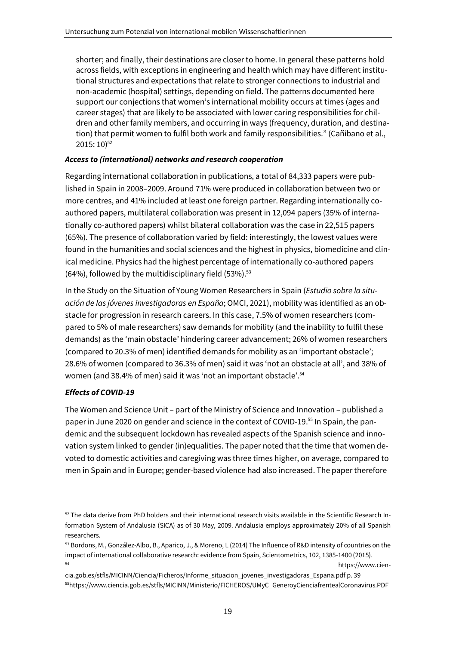shorter; and finally, their destinations are closer to home. In general these patterns hold across fields, with exceptions in engineering and health which may have different institutional structures and expectations that relate to stronger connections to industrial and non-academic (hospital) settings, depending on field. The patterns documented here support our conjections that women's international mobility occurs at times (ages and career stages) that are likely to be associated with lower caring responsibilities for children and other family members, and occurring in ways (frequency, duration, and destination) that permit women to fulfil both work and family responsibilities." (Cañibano et al.,  $2015:10$ <sup>52</sup>

# *Access to (international) networks and research cooperation*

Regarding international collaboration in publications, a total of 84,333 papers were published in Spain in 2008–2009. Around 71% were produced in collaboration between two or more centres, and 41% included at least one foreign partner. Regarding internationally coauthored papers, multilateral collaboration was present in 12,094 papers (35% of internationally co-authored papers) whilst bilateral collaboration was the case in 22,515 papers (65%). The presence of collaboration varied by field: interestingly, the lowest values were found in the humanities and social sciences and the highest in physics, biomedicine and clinical medicine. Physics had the highest percentage of internationally co-authored papers  $(64%)$ , followed by the multidisciplinary field  $(53%)$ .<sup>53</sup>

In the Study on the Situation of Young Women Researchers in Spain (*Estudio sobre la situación de las jóvenes investigadoras en España*; OMCI, 2021), mobility was identified as an obstacle for progression in research careers. In this case, 7.5% of women researchers (compared to 5% of male researchers) saw demands for mobility (and the inability to fulfil these demands) as the 'main obstacle' hindering career advancement; 26% of women researchers (compared to 20.3% of men) identified demands for mobility as an 'important obstacle'; 28.6% of women (compared to 36.3% of men) said it was 'not an obstacle at all', and 38% of women (and 38.4% of men) said it was 'not an important obstacle'.<sup>54</sup>

# *Effects of COVID-19*

The Women and Science Unit – part of the Ministry of Science and Innovation – published a paper in June 2020 on gender and science in the context of COVID-19.<sup>55</sup> In Spain, the pandemic and the subsequent lockdown has revealed aspects of the Spanish science and innovation system linked to gender (in)equalities. The paper noted that the time that women devoted to domestic activities and caregiving was three times higher, on average, compared to men in Spain and in Europe; gender-based violence had also increased. The paper therefore

 $52$  The data derive from PhD holders and their international research visits available in the Scientific Research Information System of Andalusia (SICA) as of 30 May, 2009. Andalusia employs approximately 20% of all Spanish researchers.

<sup>53</sup> Bordons, M., González-Albo, B., Aparico, J., & Moreno, L (2014) The Influence of R&D intensity of countries on the impact of international collaborative research: evidence from Spain, Scientometrics, 102, 1385-1400 (2015). <sup>54</sup> https://www.cien-

cia.gob.es/stfls/MICINN/Ciencia/Ficheros/Informe\_situacion\_jovenes\_investigadoras\_Espana.pdf p. 39 55https://www.ciencia.gob.es/stfls/MICINN/Ministerio/FICHEROS/UMyC\_GeneroyCienciafrentealCoronavirus.PDF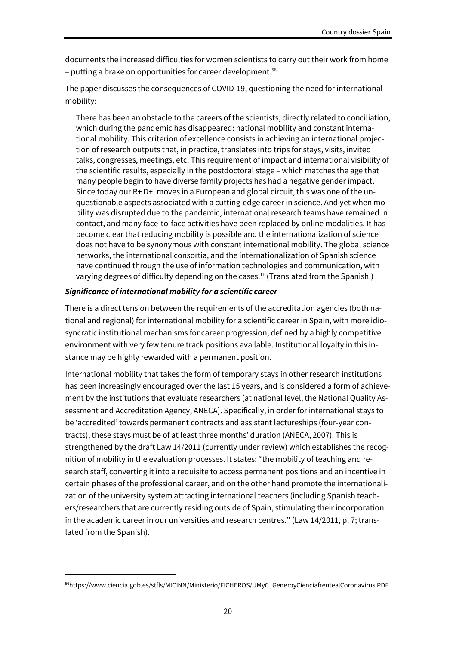documents the increased difficulties for women scientists to carry out their work from home – putting a brake on opportunities for career development.<sup>56</sup>

The paper discusses the consequences of COVID-19, questioning the need for international mobility:

There has been an obstacle to the careers of the scientists, directly related to conciliation, which during the pandemic has disappeared: national mobility and constant international mobility. This criterion of excellence consists in achieving an international projection of research outputs that, in practice, translates into trips for stays, visits, invited talks, congresses, meetings, etc. This requirement of impact and international visibility of the scientific results, especially in the postdoctoral stage – which matches the age that many people begin to have diverse family projects has had a negative gender impact. Since today our R+ D+I moves in a European and global circuit, this was one of the unquestionable aspects associated with a cutting-edge career in science. And yet when mobility was disrupted due to the pandemic, international research teams have remained in contact, and many face-to-face activities have been replaced by online modalities. It has become clear that reducing mobility is possible and the internationalization of science does not have to be synonymous with constant international mobility. The global science networks, the international consortia, and the internationalization of Spanish science have continued through the use of information technologies and communication, with varying degrees of difficulty depending on the cases.<sup>11</sup> (Translated from the Spanish.)

#### *Significance of international mobility for a scientific career*

There is a direct tension between the requirements of the accreditation agencies (both national and regional) for international mobility for a scientific career in Spain, with more idiosyncratic institutional mechanisms for career progression, defined by a highly competitive environment with very few tenure track positions available. Institutional loyalty in this instance may be highly rewarded with a permanent position.

International mobility that takes the form of temporary stays in other research institutions has been increasingly encouraged over the last 15 years, and is considered a form of achievement by the institutions that evaluate researchers (at national level, the National Quality Assessment and Accreditation Agency, ANECA). Specifically, in order for international stays to be 'accredited' towards permanent contracts and assistant lectureships (four-year contracts), these stays must be of at least three months' duration (ANECA, 2007). This is strengthened by the draft Law 14/2011 (currently under review) which establishes the recognition of mobility in the evaluation processes. It states: "the mobility of teaching and research staff, converting it into a requisite to access permanent positions and an incentive in certain phases of the professional career, and on the other hand promote the internationalization of the university system attracting international teachers (including Spanish teachers/researchers that are currently residing outside of Spain, stimulating their incorporation in the academic career in our universities and research centres." (Law 14/2011, p. 7; translated from the Spanish).

<sup>56</sup>https://www.ciencia.gob.es/stfls/MICINN/Ministerio/FICHEROS/UMyC\_GeneroyCienciafrentealCoronavirus.PDF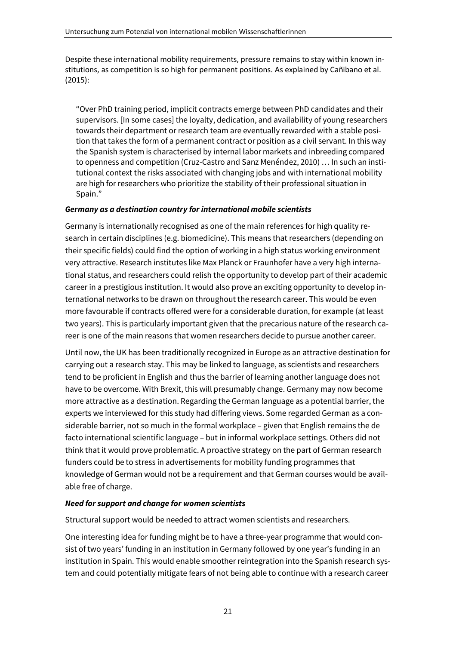Despite these international mobility requirements, pressure remains to stay within known institutions, as competition is so high for permanent positions. As explained by Cañibano et al. (2015):

"Over PhD training period, implicit contracts emerge between PhD candidates and their supervisors. [In some cases] the loyalty, dedication, and availability of young researchers towards their department or research team are eventually rewarded with a stable position that takes the form of a permanent contract or position as a civil servant. In this way the Spanish system is characterised by internal labor markets and inbreeding compared to openness and competition (Cruz-Castro and Sanz Menéndez, 2010) … In such an institutional context the risks associated with changing jobs and with international mobility are high for researchers who prioritize the stability of their professional situation in Spain."

#### *Germany as a destination country for international mobile scientists*

Germany is internationally recognised as one of the main references for high quality research in certain disciplines (e.g. biomedicine). This means that researchers (depending on their specific fields) could find the option of working in a high status working environment very attractive. Research institutes like Max Planck or Fraunhofer have a very high international status, and researchers could relish the opportunity to develop part of their academic career in a prestigious institution. It would also prove an exciting opportunity to develop international networks to be drawn on throughout the research career. This would be even more favourable if contracts offered were for a considerable duration, for example (at least two years). This is particularly important given that the precarious nature of the research career is one of the main reasons that women researchers decide to pursue another career.

Until now, the UK has been traditionally recognized in Europe as an attractive destination for carrying out a research stay. This may be linked to language, as scientists and researchers tend to be proficient in English and thus the barrier of learning another language does not have to be overcome. With Brexit, this will presumably change. Germany may now become more attractive as a destination. Regarding the German language as a potential barrier, the experts we interviewed for this study had differing views. Some regarded German as a considerable barrier, not so much in the formal workplace – given that English remains the de facto international scientific language – but in informal workplace settings. Others did not think that it would prove problematic. A proactive strategy on the part of German research funders could be to stress in advertisements for mobility funding programmes that knowledge of German would not be a requirement and that German courses would be available free of charge.

#### *Need for support and change for women scientists*

Structural support would be needed to attract women scientists and researchers.

One interesting idea for funding might be to have a three-year programme that would consist of two years' funding in an institution in Germany followed by one year's funding in an institution in Spain. This would enable smoother reintegration into the Spanish research system and could potentially mitigate fears of not being able to continue with a research career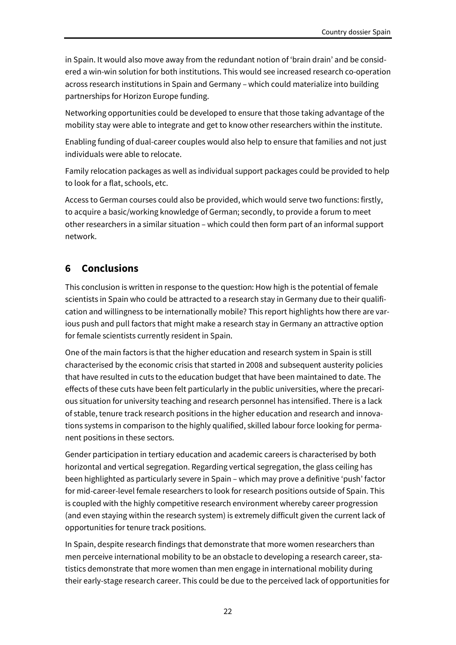in Spain. It would also move away from the redundant notion of 'brain drain' and be considered a win-win solution for both institutions. This would see increased research co-operation across research institutions in Spain and Germany – which could materialize into building partnerships for Horizon Europe funding.

Networking opportunities could be developed to ensure that those taking advantage of the mobility stay were able to integrate and get to know other researchers within the institute.

Enabling funding of dual-career couples would also help to ensure that families and not just individuals were able to relocate.

Family relocation packages as well as individual support packages could be provided to help to look for a flat, schools, etc.

Access to German courses could also be provided, which would serve two functions: firstly, to acquire a basic/working knowledge of German; secondly, to provide a forum to meet other researchers in a similar situation – which could then form part of an informal support network.

# **6 Conclusions**

This conclusion is written in response to the question: How high is the potential of female scientists in Spain who could be attracted to a research stay in Germany due to their qualification and willingness to be internationally mobile? This report highlights how there are various push and pull factors that might make a research stay in Germany an attractive option for female scientists currently resident in Spain.

One of the main factors is that the higher education and research system in Spain is still characterised by the economic crisis that started in 2008 and subsequent austerity policies that have resulted in cuts to the education budget that have been maintained to date. The effects of these cuts have been felt particularly in the public universities, where the precarious situation for university teaching and research personnel has intensified. There is a lack of stable, tenure track research positions in the higher education and research and innovations systems in comparison to the highly qualified, skilled labour force looking for permanent positions in these sectors.

Gender participation in tertiary education and academic careers is characterised by both horizontal and vertical segregation. Regarding vertical segregation, the glass ceiling has been highlighted as particularly severe in Spain – which may prove a definitive 'push' factor for mid-career-level female researchers to look for research positions outside of Spain. This is coupled with the highly competitive research environment whereby career progression (and even staying within the research system) is extremely difficult given the current lack of opportunities for tenure track positions.

In Spain, despite research findings that demonstrate that more women researchers than men perceive international mobility to be an obstacle to developing a research career, statistics demonstrate that more women than men engage in international mobility during their early-stage research career. This could be due to the perceived lack of opportunities for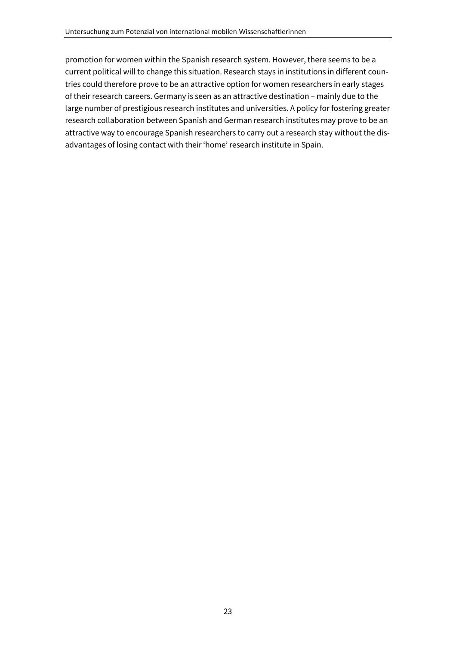promotion for women within the Spanish research system. However, there seems to be a current political will to change this situation. Research stays in institutions in different countries could therefore prove to be an attractive option for women researchers in early stages of their research careers. Germany is seen as an attractive destination – mainly due to the large number of prestigious research institutes and universities. A policy for fostering greater research collaboration between Spanish and German research institutes may prove to be an attractive way to encourage Spanish researchers to carry out a research stay without the disadvantages of losing contact with their 'home' research institute in Spain.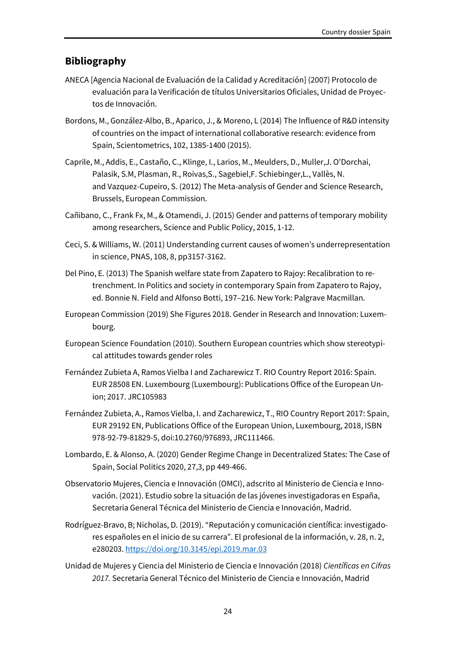# **Bibliography**

- ANECA [Agencia Nacional de Evaluación de la Calidad y Acreditación] (2007) Protocolo de evaluación para la Verificación de títulos Universitarios Oficiales, Unidad de Proyectos de Innovación.
- Bordons, M., González-Albo, B., Aparico, J., & Moreno, L (2014) The Influence of R&D intensity of countries on the impact of international collaborative research: evidence from Spain, Scientometrics, 102, 1385-1400 (2015).
- Caprile, M., Addis, E., Castaño, C., Klinge, I., Larios, M., Meulders, D., Muller,J. O'Dorchai, Palasik, S.M, Plasman, R., Roivas,S., Sagebiel,F. Schiebinger,L., Vallès, N. and Vazquez-Cupeiro, S. (2012) The Meta-analysis of Gender and Science Research, Brussels, European Commission.
- Cañibano, C., Frank Fx, M., & Otamendi, J. (2015) Gender and patterns of temporary mobility among researchers, Science and Public Policy, 2015, 1-12.
- Ceci, S. & Williams, W. (2011) Understanding current causes of women's underrepresentation in science, PNAS, 108, 8, pp3157-3162.
- Del Pino, E. (2013) The Spanish welfare state from Zapatero to Rajoy: Recalibration to retrenchment. In Politics and society in contemporary Spain from Zapatero to Rajoy, ed. Bonnie N. Field and Alfonso Botti, 197–216. New York: Palgrave Macmillan.
- European Commission (2019) She Figures 2018. Gender in Research and Innovation: Luxembourg.
- European Science Foundation (2010). Southern European countries which show stereotypical attitudes towards gender roles
- Fernández Zubieta A, Ramos Vielba I and Zacharewicz T. RIO Country Report 2016: Spain. EUR 28508 EN. Luxembourg (Luxembourg): Publications Office of the European Union; 2017. JRC105983
- Fernández Zubieta, A., Ramos Vielba, I. and Zacharewicz, T., RIO Country Report 2017: Spain, EUR 29192 EN, Publications Office of the European Union, Luxembourg, 2018, ISBN 978-92-79-81829-5, doi:10.2760/976893, JRC111466.
- Lombardo, E. & Alonso, A. (2020) Gender Regime Change in Decentralized States: The Case of Spain, Social Politics 2020, 27,3, pp 449-466.
- Observatorio Mujeres, Ciencia e Innovación (OMCI), adscrito al Ministerio de Ciencia e Innovación. (2021). Estudio sobre la situación de las jóvenes investigadoras en España, Secretaria General Técnica del Ministerio de Ciencia e Innovación, Madrid.
- Rodríguez-Bravo, B; Nicholas, D. (2019). "Reputación y comunicación científica: investigadores españoles en el inicio de su carrera". El profesional de la información, v. 28, n. 2, e280203. https://doi.org/10.3145/epi.2019.mar.03
- Unidad de Mujeres y Ciencia del Ministerio de Ciencia e Innovación (2018) *Científicas en Cifras 2017.* Secretaria General Técnico del Ministerio de Ciencia e Innovación, Madrid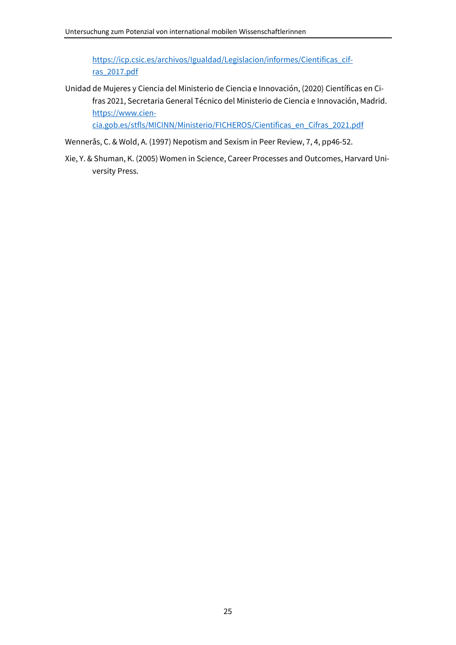https://icp.csic.es/archivos/Igualdad/Legislacion/informes/Cientificas\_cifras\_2017.pdf

Unidad de Mujeres y Ciencia del Ministerio de Ciencia e Innovación, (2020) Científicas en Cifras 2021, Secretaria General Técnico del Ministerio de Ciencia e Innovación, Madrid. https://www.cien-

cia.gob.es/stfls/MICINN/Ministerio/FICHEROS/Cientificas\_en\_Cifras\_2021.pdf

- Wennerås, C. & Wold, A. (1997) Nepotism and Sexism in Peer Review, 7, 4, pp46-52.
- Xie, Y. & Shuman, K. (2005) Women in Science, Career Processes and Outcomes, Harvard University Press.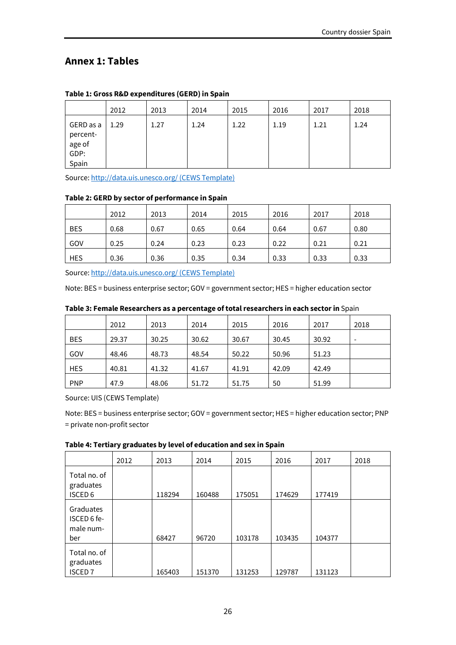# **Annex 1: Tables**

|                                                  | 2012 | 2013 | 2014 | 2015 | 2016 | 2017 | 2018 |
|--------------------------------------------------|------|------|------|------|------|------|------|
| GERD as a<br>percent-<br>age of<br>GDP:<br>Spain | 1.29 | 1.27 | 1.24 | 1.22 | 1.19 | 1.21 | 1.24 |

#### **Table 1: Gross R&D expenditures (GERD) in Spain**

Source: http://data.uis.unesco.org/ (CEWS Template)

#### **Table 2: GERD by sector of performance in Spain**

|            | 2012 | 2013 | 2014 | 2015 | 2016 | 2017 | 2018 |
|------------|------|------|------|------|------|------|------|
| <b>BES</b> | 0.68 | 0.67 | 0.65 | 0.64 | 0.64 | 0.67 | 0.80 |
| GOV        | 0.25 | 0.24 | 0.23 | 0.23 | 0.22 | 0.21 | 0.21 |
| <b>HES</b> | 0.36 | 0.36 | 0.35 | 0.34 | 0.33 | 0.33 | 0.33 |

Source: http://data.uis.unesco.org/ (CEWS Template)

Note: BES = business enterprise sector; GOV = government sector; HES = higher education sector

#### **Table 3: Female Researchers as a percentage of total researchers in each sector in** Spain

|            | 2012  | 2013  | 2014  | 2015  | 2016  | 2017  | 2018 |
|------------|-------|-------|-------|-------|-------|-------|------|
| <b>BES</b> | 29.37 | 30.25 | 30.62 | 30.67 | 30.45 | 30.92 |      |
| GOV        | 48.46 | 48.73 | 48.54 | 50.22 | 50.96 | 51.23 |      |
| <b>HES</b> | 40.81 | 41.32 | 41.67 | 41.91 | 42.09 | 42.49 |      |
| <b>PNP</b> | 47.9  | 48.06 | 51.72 | 51.75 | 50    | 51.99 |      |

Source: UIS (CEWS Template)

Note: BES = business enterprise sector; GOV = government sector; HES = higher education sector; PNP = private non-profit sector

**Table 4: Tertiary graduates by level of education and sex in Spain** 

|                                                 | 2012 | 2013   | 2014   | 2015   | 2016   | 2017   | 2018 |
|-------------------------------------------------|------|--------|--------|--------|--------|--------|------|
| Total no. of<br>graduates<br>ISCED <sub>6</sub> |      | 118294 | 160488 | 175051 | 174629 | 177419 |      |
| Graduates<br>ISCED 6 fe-<br>male num-<br>ber    |      | 68427  | 96720  | 103178 | 103435 | 104377 |      |
| Total no. of<br>graduates<br><b>ISCED 7</b>     |      | 165403 | 151370 | 131253 | 129787 | 131123 |      |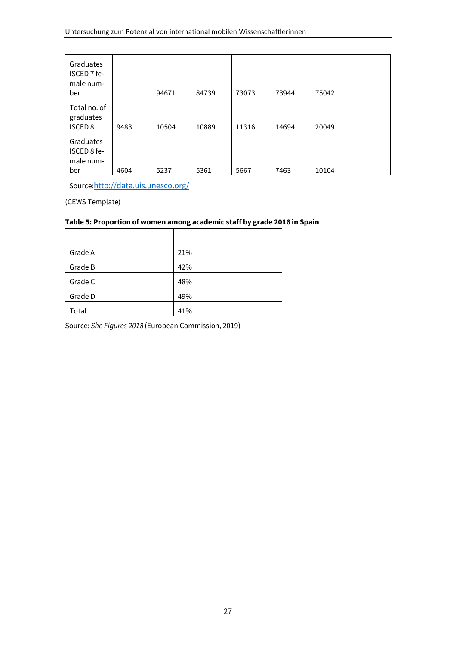| Graduates<br>ISCED 7 fe-<br>male num-<br>ber |      | 94671 | 84739 | 73073 | 73944 | 75042 |  |
|----------------------------------------------|------|-------|-------|-------|-------|-------|--|
| Total no. of<br>graduates<br><b>ISCED 8</b>  | 9483 | 10504 | 10889 | 11316 | 14694 | 20049 |  |
| Graduates<br>ISCED 8 fe-<br>male num-<br>ber | 4604 | 5237  | 5361  | 5667  | 7463  | 10104 |  |

Source:http://data.uis.unesco.org/

(CEWS Template)

#### **Table 5: Proportion of women among academic staff by grade 2016 in Spain**

| Grade A | 21% |
|---------|-----|
| Grade B | 42% |
| Grade C | 48% |
| Grade D | 49% |
| Total   | 41% |

Source: *She Figures 2018* (European Commission, 2019)